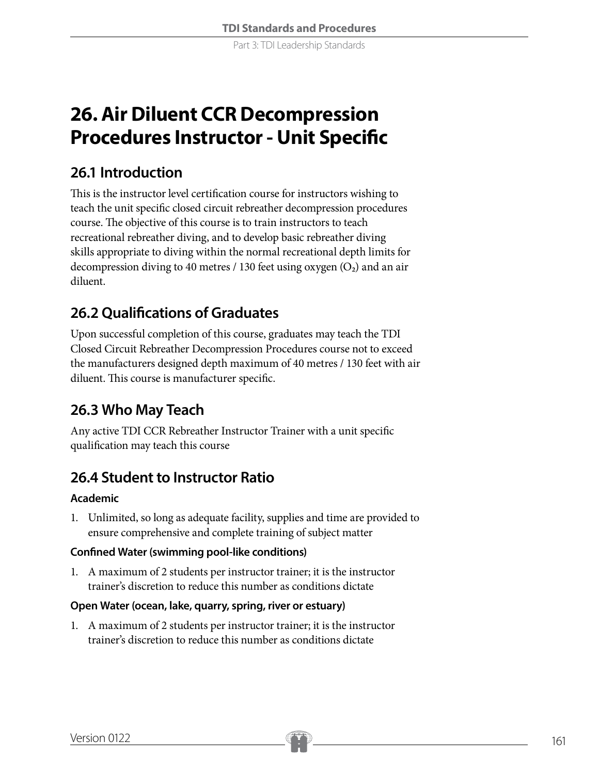Part 3: TDI Leadership Standards

# **26. Air Diluent CCR Decompression Procedures Instructor - Unit Specific**

### **26.1 Introduction**

This is the instructor level certification course for instructors wishing to teach the unit specific closed circuit rebreather decompression procedures course. The objective of this course is to train instructors to teach recreational rebreather diving, and to develop basic rebreather diving skills appropriate to diving within the normal recreational depth limits for decompression diving to 40 metres / 130 feet using oxygen  $(O_2)$  and an air diluent.

# **26.2 Qualifications of Graduates**

Upon successful completion of this course, graduates may teach the TDI Closed Circuit Rebreather Decompression Procedures course not to exceed the manufacturers designed depth maximum of 40 metres / 130 feet with air diluent. This course is manufacturer specific.

# **26.3 Who May Teach**

Any active TDI CCR Rebreather Instructor Trainer with a unit specific qualification may teach this course

# **26.4 Student to Instructor Ratio**

### **Academic**

1. Unlimited, so long as adequate facility, supplies and time are provided to ensure comprehensive and complete training of subject matter

### **Confined Water (swimming pool-like conditions)**

1. A maximum of 2 students per instructor trainer; it is the instructor trainer's discretion to reduce this number as conditions dictate

### **Open Water (ocean, lake, quarry, spring, river or estuary)**

1. A maximum of 2 students per instructor trainer; it is the instructor trainer's discretion to reduce this number as conditions dictate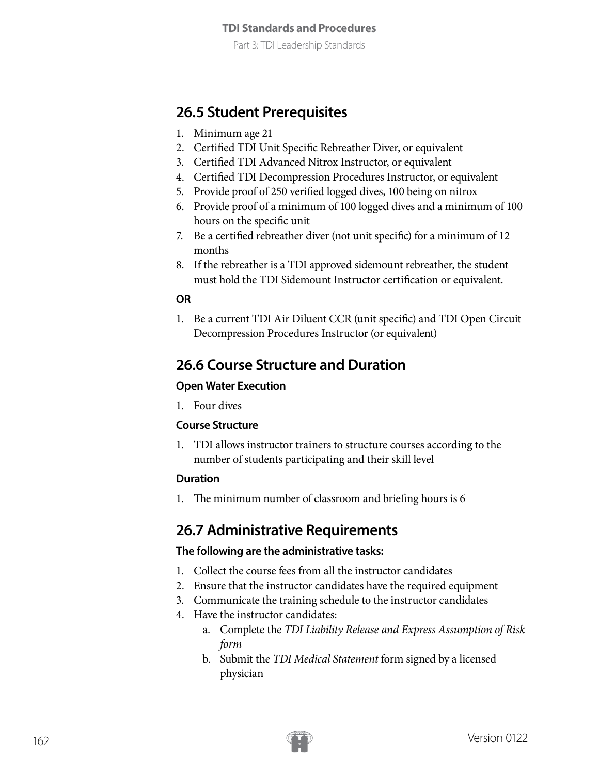Part 3: TDI Leadership Standards

### **26.5 Student Prerequisites**

- 1. Minimum age 21
- 2. Certified TDI Unit Specific Rebreather Diver, or equivalent
- 3. Certified TDI Advanced Nitrox Instructor, or equivalent
- 4. Certified TDI Decompression Procedures Instructor, or equivalent
- 5. Provide proof of 250 verified logged dives, 100 being on nitrox
- 6. Provide proof of a minimum of 100 logged dives and a minimum of 100 hours on the specific unit
- 7. Be a certified rebreather diver (not unit specific) for a minimum of 12 months
- 8. If the rebreather is a TDI approved sidemount rebreather, the student must hold the TDI Sidemount Instructor certification or equivalent.

### **OR**

1. Be a current TDI Air Diluent CCR (unit specific) and TDI Open Circuit Decompression Procedures Instructor (or equivalent)

### **26.6 Course Structure and Duration**

### **Open Water Execution**

1. Four dives

### **Course Structure**

1. TDI allows instructor trainers to structure courses according to the number of students participating and their skill level

#### **Duration**

1. The minimum number of classroom and briefing hours is 6

### **26.7 Administrative Requirements**

### **The following are the administrative tasks:**

- 1. Collect the course fees from all the instructor candidates
- 2. Ensure that the instructor candidates have the required equipment
- 3. Communicate the training schedule to the instructor candidates
- 4. Have the instructor candidates:
	- a. Complete the *TDI Liability Release and Express Assumption of Risk form*
	- b. Submit the *TDI Medical Statement* form signed by a licensed physician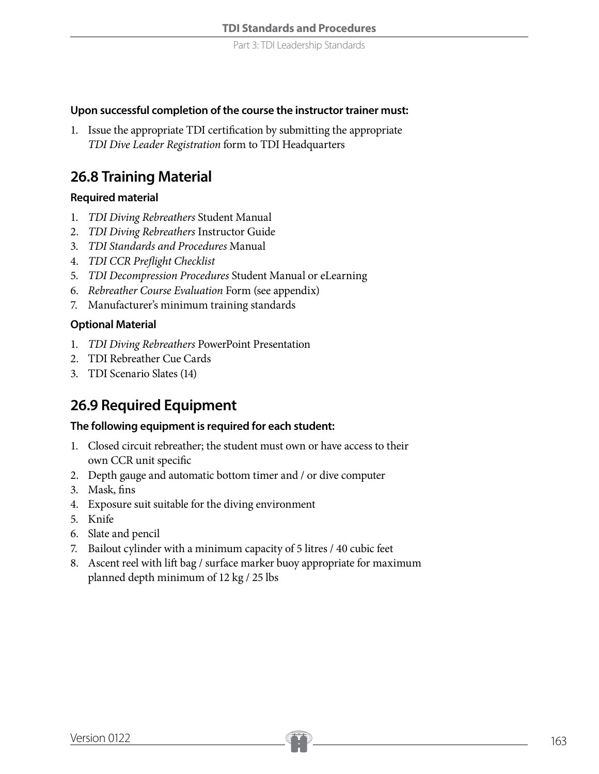#### **Upon successful completion of the course the instructor trainer must:**

1. Issue the appropriate TDI certification by submitting the appropriate *TDI Dive Leader Registration* form to TDI Headquarters

### **26.8 Training Material**

### **Required material**

- 1. *TDI Diving Rebreathers* Student Manual
- 2. *TDI Diving Rebreathers* Instructor Guide
- 3. *TDI Standards and Procedures* Manual
- 4. *TDI CCR Preflight Checklist*
- 5. *TDI Decompression Procedures* Student Manual or eLearning
- 6. *Rebreather Course Evaluation* Form (see appendix)
- 7. Manufacturer's minimum training standards

#### **Optional Material**

- 1. *TDI Diving Rebreathers* PowerPoint Presentation
- 2. TDI Rebreather Cue Cards
- 3. TDI Scenario Slates (14)

### **26.9 Required Equipment**

#### **The following equipment is required for each student:**

- 1. Closed circuit rebreather; the student must own or have access to their own CCR unit specific
- 2. Depth gauge and automatic bottom timer and / or dive computer
- 3. Mask, fins
- 4. Exposure suit suitable for the diving environment
- 5. Knife
- 6. Slate and pencil
- 7. Bailout cylinder with a minimum capacity of 5 litres / 40 cubic feet
- 8. Ascent reel with lift bag / surface marker buoy appropriate for maximum planned depth minimum of 12 kg / 25 lbs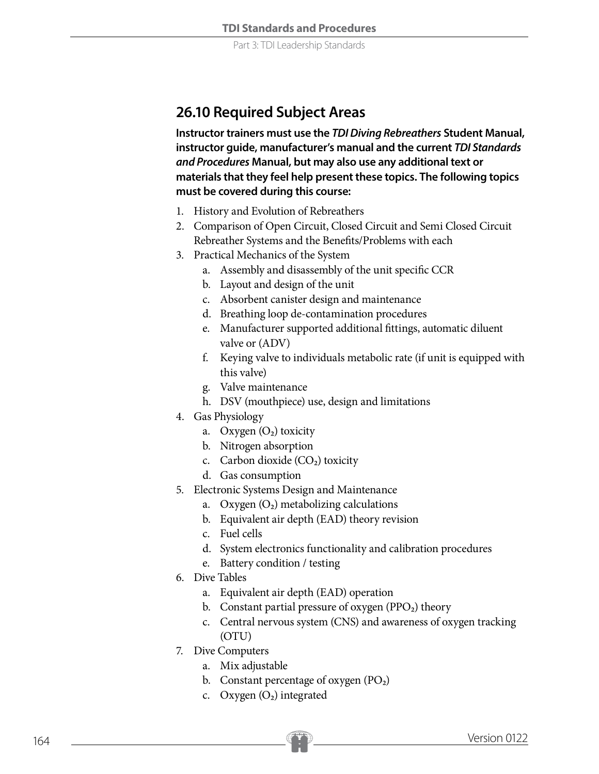### **26.10 Required Subject Areas**

**Instructor trainers must use the** *TDI Diving Rebreathers* **Student Manual, instructor guide, manufacturer's manual and the current** *TDI Standards and Procedures* **Manual, but may also use any additional text or materials that they feel help present these topics. The following topics must be covered during this course:**

- 1. History and Evolution of Rebreathers
- 2. Comparison of Open Circuit, Closed Circuit and Semi Closed Circuit Rebreather Systems and the Benefits/Problems with each
- 3. Practical Mechanics of the System
	- a. Assembly and disassembly of the unit specific CCR
	- b. Layout and design of the unit
	- c. Absorbent canister design and maintenance
	- d. Breathing loop de-contamination procedures
	- e. Manufacturer supported additional fittings, automatic diluent valve or (ADV)
	- f. Keying valve to individuals metabolic rate (if unit is equipped with this valve)
	- g. Valve maintenance
	- h. DSV (mouthpiece) use, design and limitations
- 4. Gas Physiology
	- a. Oxygen  $(O_2)$  toxicity
	- b. Nitrogen absorption
	- c. Carbon dioxide  $(CO<sub>2</sub>)$  toxicity
	- d. Gas consumption
- 5. Electronic Systems Design and Maintenance
	- a. Oxygen  $(O_2)$  metabolizing calculations
	- b. Equivalent air depth (EAD) theory revision
	- c. Fuel cells
	- d. System electronics functionality and calibration procedures
	- e. Battery condition / testing
- 6. Dive Tables
	- a. Equivalent air depth (EAD) operation
	- b. Constant partial pressure of oxygen  $(PPO<sub>2</sub>)$  theory
	- c. Central nervous system (CNS) and awareness of oxygen tracking (OTU)
- 7. Dive Computers
	- a. Mix adjustable
	- b. Constant percentage of oxygen  $(PO<sub>2</sub>)$
	- c. Oxygen  $(O_2)$  integrated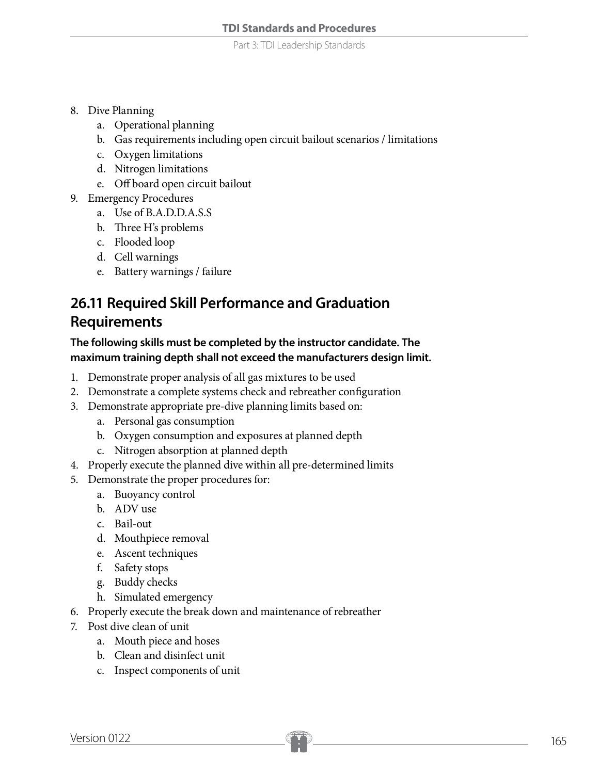Part 3: TDI Leadership Standards

- 8. Dive Planning
	- a. Operational planning
	- b. Gas requirements including open circuit bailout scenarios / limitations
	- c. Oxygen limitations
	- d. Nitrogen limitations
	- e. Off board open circuit bailout
- 9. Emergency Procedures
	- a. Use of B.A.D.D.A.S.S
	- b. Three H's problems
	- c. Flooded loop
	- d. Cell warnings
	- e. Battery warnings / failure

# **26.11 Required Skill Performance and Graduation Requirements**

### **The following skills must be completed by the instructor candidate. The maximum training depth shall not exceed the manufacturers design limit.**

- 1. Demonstrate proper analysis of all gas mixtures to be used
- 2. Demonstrate a complete systems check and rebreather configuration
- 3. Demonstrate appropriate pre-dive planning limits based on:
	- a. Personal gas consumption
	- b. Oxygen consumption and exposures at planned depth
	- c. Nitrogen absorption at planned depth
- 4. Properly execute the planned dive within all pre-determined limits
- 5. Demonstrate the proper procedures for:
	- a. Buoyancy control
	- b. ADV use
	- c. Bail-out
	- d. Mouthpiece removal
	- e. Ascent techniques
	- f. Safety stops
	- g. Buddy checks
	- h. Simulated emergency
- 6. Properly execute the break down and maintenance of rebreather
- 7. Post dive clean of unit
	- a. Mouth piece and hoses
	- b. Clean and disinfect unit
	- c. Inspect components of unit